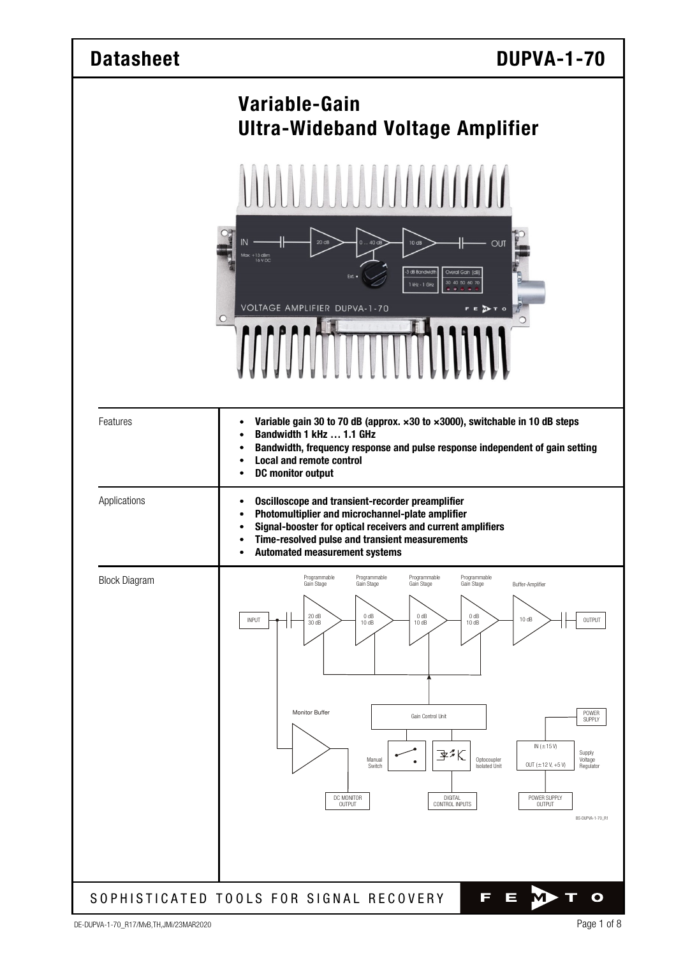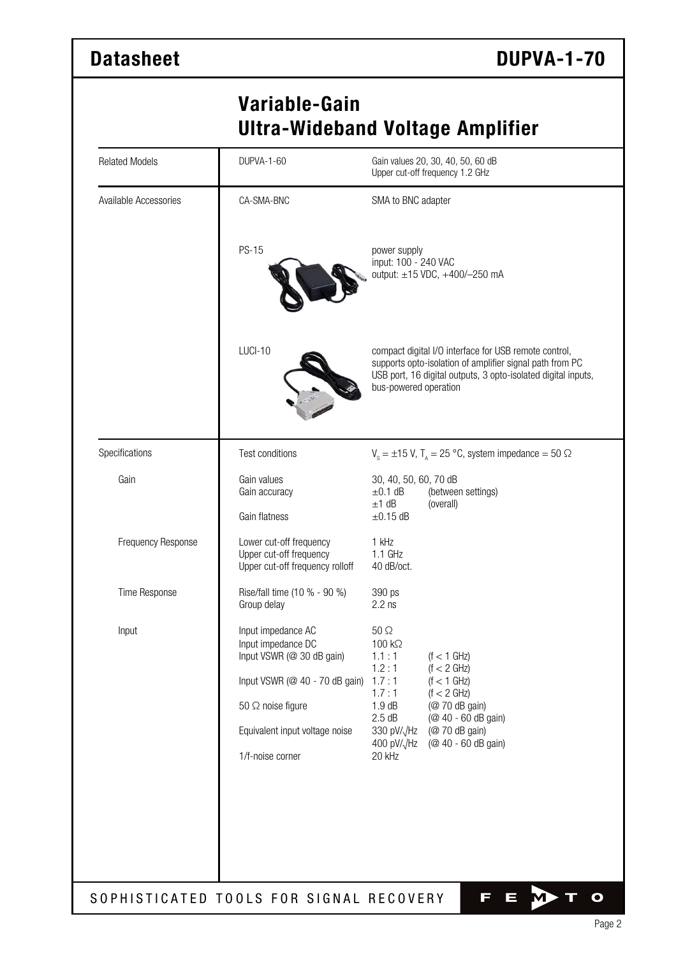## **Variable-Gain Ultra-Wideband Voltage Amplifier**

| <b>Related Models</b> | DUPVA-1-60                                                                                              | Gain values 20, 30, 40, 50, 60 dB<br>Upper cut-off frequency 1.2 GHz                                                                                                                                        |  |  |  |
|-----------------------|---------------------------------------------------------------------------------------------------------|-------------------------------------------------------------------------------------------------------------------------------------------------------------------------------------------------------------|--|--|--|
| Available Accessories | CA-SMA-BNC                                                                                              | SMA to BNC adapter                                                                                                                                                                                          |  |  |  |
|                       | <b>PS-15</b>                                                                                            | power supply<br>input: 100 - 240 VAC<br>output: ±15 VDC, +400/-250 mA                                                                                                                                       |  |  |  |
|                       | LUCI-10                                                                                                 | compact digital I/O interface for USB remote control,<br>supports opto-isolation of amplifier signal path from PC<br>USB port, 16 digital outputs, 3 opto-isolated digital inputs,<br>bus-powered operation |  |  |  |
| Specifications        | Test conditions                                                                                         | $V_s = \pm 15$ V, T <sub>A</sub> = 25 °C, system impedance = 50 $\Omega$                                                                                                                                    |  |  |  |
| Gain                  | Gain values<br>Gain accuracy                                                                            | 30, 40, 50, 60, 70 dB<br>$\pm 0.1$ dB<br>(between settings)                                                                                                                                                 |  |  |  |
|                       | Gain flatness                                                                                           | $±1$ dB<br>(overall)<br>$\pm 0.15$ dB                                                                                                                                                                       |  |  |  |
| Frequency Response    | Lower cut-off frequency<br>Upper cut-off frequency<br>Upper cut-off frequency rolloff                   | 1 kHz<br>1.1 GHz<br>40 dB/oct.                                                                                                                                                                              |  |  |  |
| Time Response         | Rise/fall time (10 % - 90 %)<br>Group delay                                                             | 390 ps<br>$2.2$ ns                                                                                                                                                                                          |  |  |  |
| Input                 | Input impedance AC<br>Input impedance DC<br>Input VSWR (@ 30 dB gain)<br>Input VSWR (@ 40 - 70 dB gain) | $50 \Omega$<br>100 kΩ<br>1.1:1<br>$(f < 1$ GHz)<br>1.2:1<br>(f < 2 GHz)<br>1.7:1<br>$(f < 1$ GHz)                                                                                                           |  |  |  |
|                       | 50 $\Omega$ noise figure                                                                                | (f < 2 GHz)<br>1.7:1<br>1.9dB<br>(@ 70 dB gain)                                                                                                                                                             |  |  |  |
|                       | Equivalent input voltage noise                                                                          | 2.5dB<br>(@ 40 - 60 dB gain)<br>330 pV/ $\sqrt{Hz}$<br>(@ 70 dB gain)                                                                                                                                       |  |  |  |
|                       | 1/f-noise corner                                                                                        | 400 pV/ $\sqrt{Hz}$<br>(@ 40 - 60 dB gain)<br>20 kHz                                                                                                                                                        |  |  |  |
|                       |                                                                                                         |                                                                                                                                                                                                             |  |  |  |
|                       |                                                                                                         |                                                                                                                                                                                                             |  |  |  |
|                       |                                                                                                         |                                                                                                                                                                                                             |  |  |  |
|                       |                                                                                                         |                                                                                                                                                                                                             |  |  |  |
|                       | SOPHISTICATED TOOLS FOR SIGNAL RECOVERY                                                                 | П<br>$\blacksquare$<br>O                                                                                                                                                                                    |  |  |  |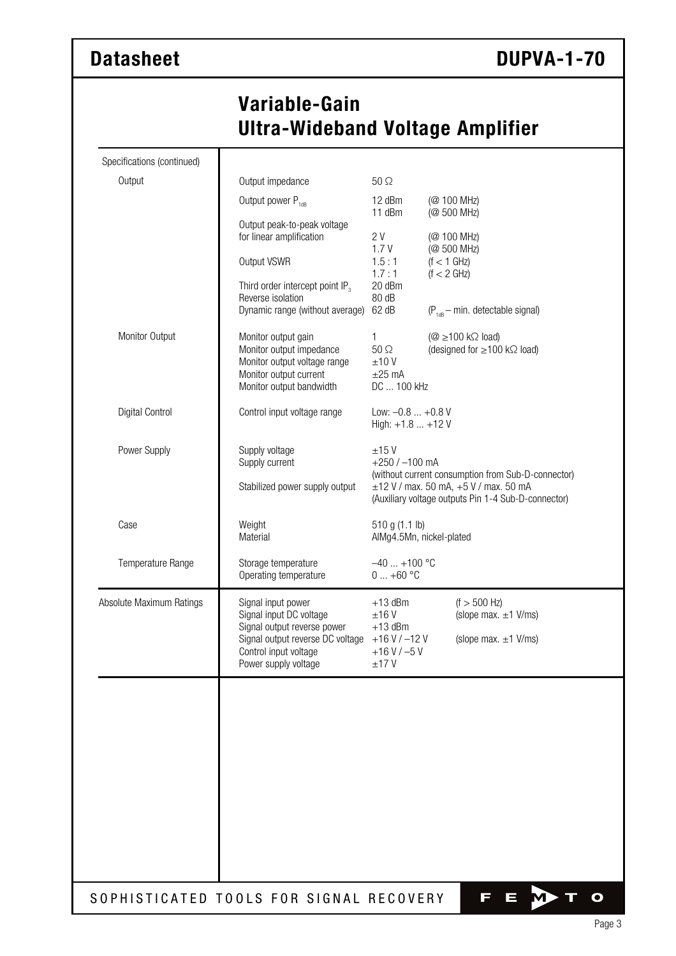## **Variable-Gain Ultra-Wideband Voltage Amplifier**

| Specifications (continued) |                                                                                                                                       |                                                                                                                                                         |                                                                                                       |  |  |
|----------------------------|---------------------------------------------------------------------------------------------------------------------------------------|---------------------------------------------------------------------------------------------------------------------------------------------------------|-------------------------------------------------------------------------------------------------------|--|--|
| Output                     | Output impedance                                                                                                                      | $50\Omega$                                                                                                                                              |                                                                                                       |  |  |
|                            | Output power P <sub>1dB</sub>                                                                                                         | 12 dBm                                                                                                                                                  | (@ 100 MHz)<br>(@ 500 MHz)                                                                            |  |  |
|                            | Output peak-to-peak voltage<br>for linear amplification                                                                               | 11 dBm<br>2 V<br>1.7V                                                                                                                                   | (@ 100 MHz)<br>(@ 500 MHz)                                                                            |  |  |
|                            | Output VSWR                                                                                                                           | 1.5:1<br>1.7:1                                                                                                                                          | $(f < 1$ GHz)<br>(f < 2 GHz)                                                                          |  |  |
|                            | Third order intercept point IP <sub>3</sub><br>Reverse isolation<br>Dynamic range (without average)                                   | 20 dBm<br>80 dB<br>62 dB                                                                                                                                | $(P_{1dR} - min.$ detectable signal)                                                                  |  |  |
| Monitor Output             | Monitor output gain<br>Monitor output impedance<br>Monitor output voltage range<br>Monitor output current<br>Monitor output bandwidth | 1<br>$50 \Omega$<br>±10V<br>$\pm 25$ mA<br>DC  100 kHz                                                                                                  | $(\textcircled{2} \ge 100 \text{ k}\Omega \text{ load})$<br>(designed for $\geq$ 100 k $\Omega$ load) |  |  |
| Digital Control            | Control input voltage range                                                                                                           | Low: $-0.8  +0.8$ V<br>High: +1.8  +12 V                                                                                                                |                                                                                                       |  |  |
| Power Supply               | Supply voltage<br>Supply current                                                                                                      | ±15V<br>$+250$ / $-100$ mA                                                                                                                              |                                                                                                       |  |  |
|                            | Stabilized power supply output                                                                                                        | (without current consumption from Sub-D-connector)<br>$\pm$ 12 V / max. 50 mA, +5 V / max. 50 mA<br>(Auxiliary voltage outputs Pin 1-4 Sub-D-connector) |                                                                                                       |  |  |
| Case                       | Weight<br>Material                                                                                                                    | 510 g (1.1 lb)<br>AlMg4.5Mn, nickel-plated                                                                                                              |                                                                                                       |  |  |
| Temperature Range          | Storage temperature<br>Operating temperature                                                                                          | $-40$ +100 °C<br>$0+60$ °C                                                                                                                              |                                                                                                       |  |  |
| Absolute Maximum Ratings   | Signal input power<br>Signal input DC voltage                                                                                         | $+13$ dBm<br>±16V                                                                                                                                       | $(f > 500$ Hz)<br>(slope max. $\pm$ 1 V/ms)                                                           |  |  |
|                            | Signal output reverse power<br>Signal output reverse DC voltage $+16$ V / -12 V<br>Control input voltage<br>Power supply voltage      | $+13$ dBm<br>$+16$ V / $-5$ V<br>±17V                                                                                                                   | (slope max. $\pm 1$ V/ms)                                                                             |  |  |
|                            |                                                                                                                                       |                                                                                                                                                         |                                                                                                       |  |  |
|                            |                                                                                                                                       |                                                                                                                                                         |                                                                                                       |  |  |
|                            |                                                                                                                                       |                                                                                                                                                         |                                                                                                       |  |  |
|                            |                                                                                                                                       |                                                                                                                                                         |                                                                                                       |  |  |
|                            | SOPHISTICATED TOOLS FOR SIGNAL RECOVERY                                                                                               |                                                                                                                                                         | F<br>$\mathbf O$<br>ī                                                                                 |  |  |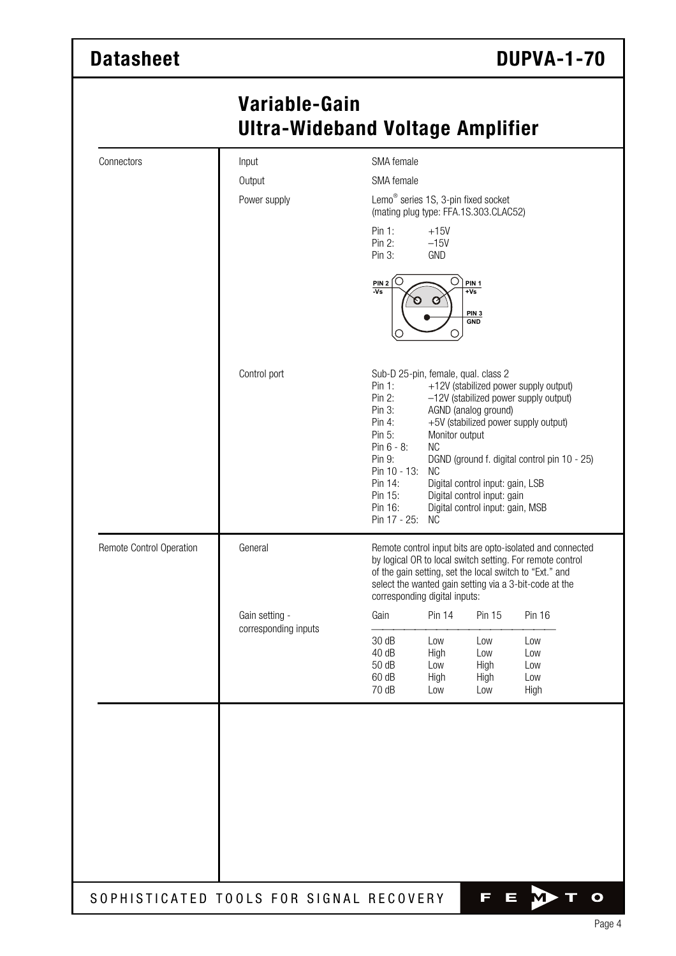## **Variable-Gain Ultra-Wideband Voltage Amplifier**

| Output<br>Power supply                 | SMA female<br>Pin 1:<br>Pin 2:<br>Pin $3:$<br>ŋ<br>$\frac{PIN 2}{Vs}$<br>U                                                                                                                                                                                                   | Lemo <sup>®</sup> series 1S, 3-pin fixed socket<br>(mating plug type: FFA.1S.303.CLAC52)<br>$+15V$<br>$-15V$<br>GND<br>Ö<br>Ø<br>O | $+Vs$<br>PIN <sub>3</sub><br><b>GND</b>                                                                                                                                                                                                                                               |                                                                              |  |  |
|----------------------------------------|------------------------------------------------------------------------------------------------------------------------------------------------------------------------------------------------------------------------------------------------------------------------------|------------------------------------------------------------------------------------------------------------------------------------|---------------------------------------------------------------------------------------------------------------------------------------------------------------------------------------------------------------------------------------------------------------------------------------|------------------------------------------------------------------------------|--|--|
|                                        |                                                                                                                                                                                                                                                                              |                                                                                                                                    |                                                                                                                                                                                                                                                                                       |                                                                              |  |  |
|                                        |                                                                                                                                                                                                                                                                              |                                                                                                                                    |                                                                                                                                                                                                                                                                                       |                                                                              |  |  |
|                                        |                                                                                                                                                                                                                                                                              |                                                                                                                                    |                                                                                                                                                                                                                                                                                       |                                                                              |  |  |
|                                        |                                                                                                                                                                                                                                                                              | PIN <sub>1</sub>                                                                                                                   |                                                                                                                                                                                                                                                                                       |                                                                              |  |  |
| Control port                           | Pin 1:<br>Pin 2:<br>Pin $3:$<br>Pin 4:<br>Pin 5:<br>Pin $6 - 8$ :<br>Pin 9:<br>Pin 14:<br>Pin 15:<br>Pin 16:                                                                                                                                                                 | <b>NC</b><br><b>NC</b><br><b>NC</b>                                                                                                | Sub-D 25-pin, female, qual. class 2<br>+12V (stabilized power supply output)<br>-12V (stabilized power supply output)<br>+5V (stabilized power supply output)<br>DGND (ground f. digital control pin 10 - 25)<br>Digital control input: gain, LSB<br>Digital control input: gain, MSB |                                                                              |  |  |
| General                                | Remote control input bits are opto-isolated and connected<br>by logical OR to local switch setting. For remote control<br>of the gain setting, set the local switch to "Ext." and<br>select the wanted gain setting via a 3-bit-code at the<br>corresponding digital inputs: |                                                                                                                                    |                                                                                                                                                                                                                                                                                       |                                                                              |  |  |
| Gain setting -<br>corresponding inputs | Gain                                                                                                                                                                                                                                                                         | <b>Pin 14</b>                                                                                                                      | Pin 15                                                                                                                                                                                                                                                                                | <b>Pin 16</b>                                                                |  |  |
|                                        | 30 dB<br>40 dB<br>50 dB<br>60 dB                                                                                                                                                                                                                                             | Low<br>High<br>Low<br>High                                                                                                         | Low<br>Low<br>High<br>High                                                                                                                                                                                                                                                            | Low<br>Low<br>Low<br>Low<br>High                                             |  |  |
|                                        |                                                                                                                                                                                                                                                                              | 70 dB                                                                                                                              | Pin 10 - 13:<br>Pin 17 - 25:<br>Low                                                                                                                                                                                                                                                   | AGND (analog ground)<br>Monitor output<br>Digital control input: gain<br>Low |  |  |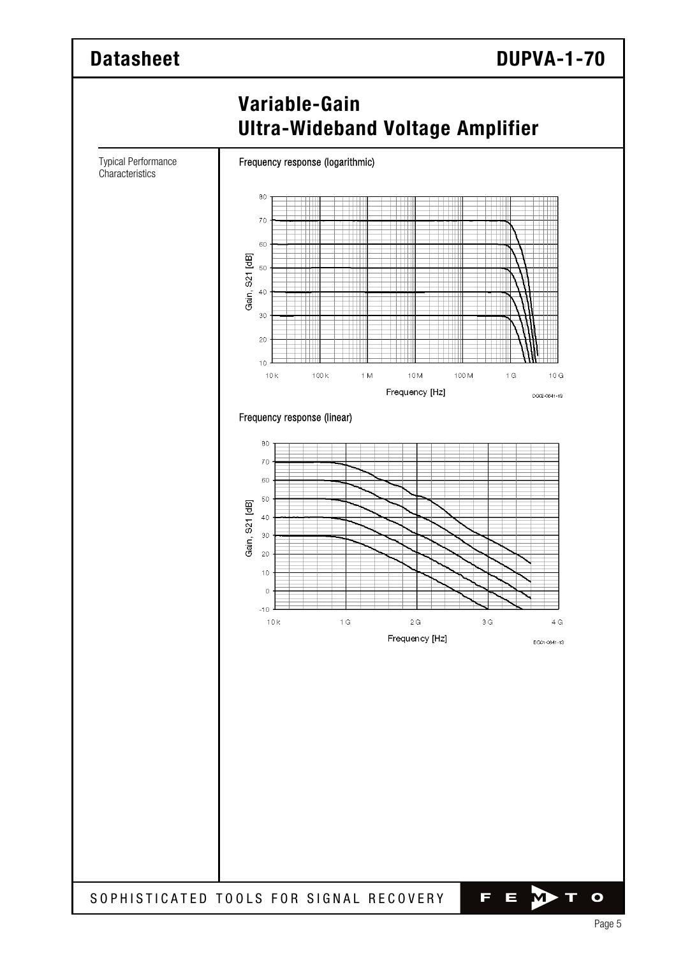

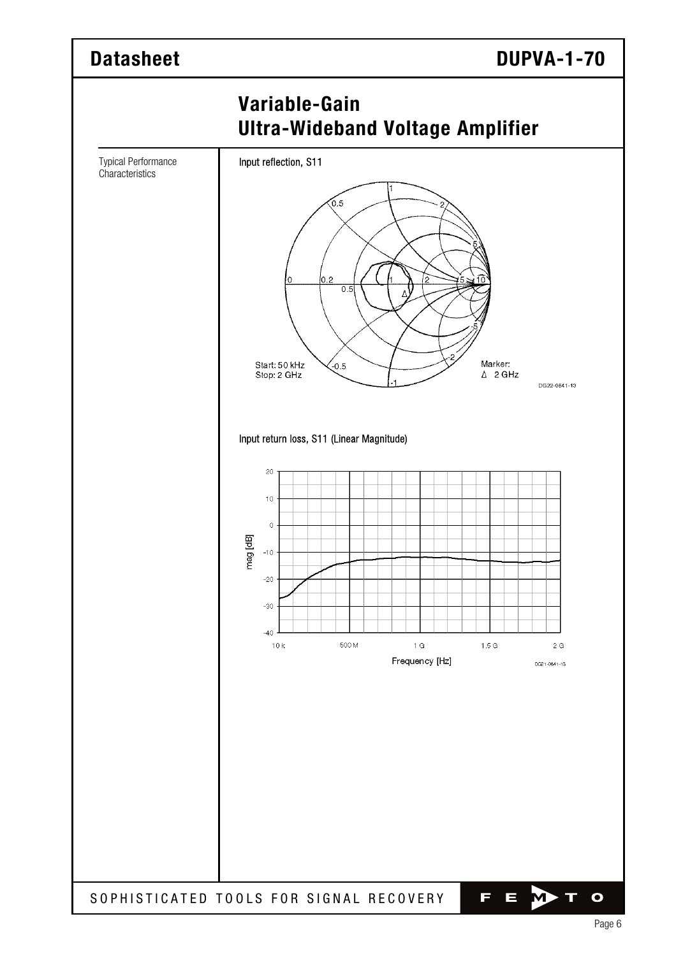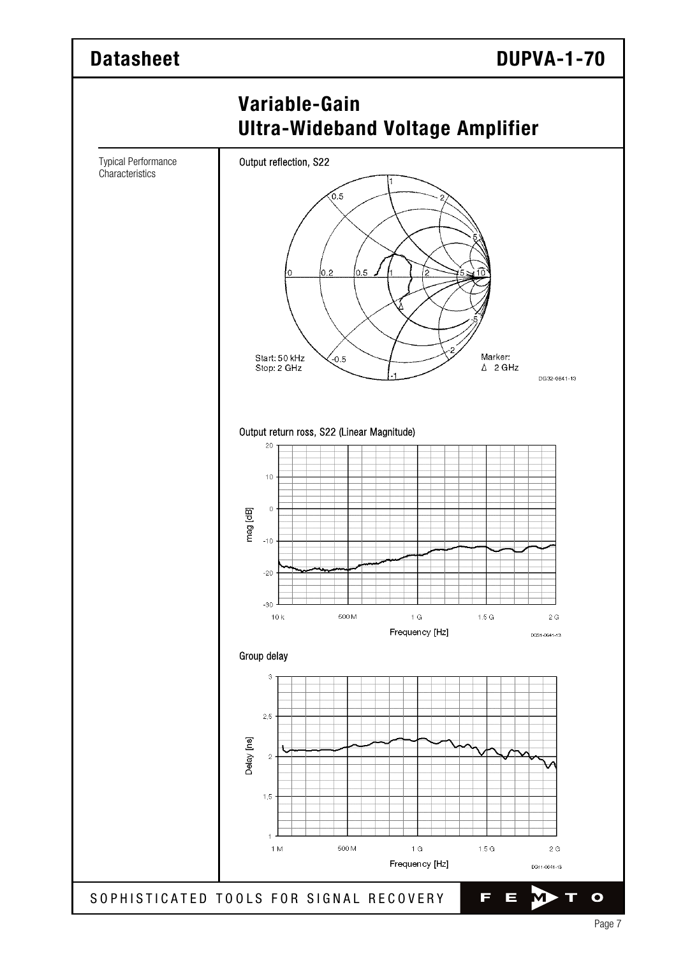